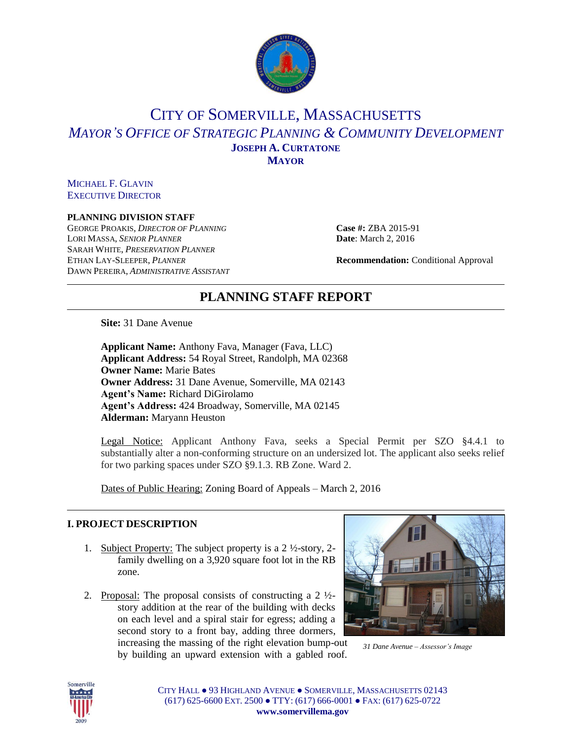

## CITY OF SOMERVILLE, MASSACHUSETTS *MAYOR'S OFFICE OF STRATEGIC PLANNING & COMMUNITY DEVELOPMENT* **JOSEPH A. CURTATONE MAYOR**

MICHAEL F. GLAVIN EXECUTIVE DIRECTOR

#### **PLANNING DIVISION STAFF**

GEORGE PROAKIS, *DIRECTOR OF PLANNING* **Case #:** ZBA 2015-91 LORI MASSA, *SENIOR PLANNER* **Date**: March 2, 2016 SARAH WHITE, *PRESERVATION PLANNER* ETHAN LAY-SLEEPER, *PLANNER* **Recommendation:** Conditional Approval DAWN PEREIRA, *ADMINISTRATIVE ASSISTANT*

# **PLANNING STAFF REPORT**

**Site:** 31 Dane Avenue

**Applicant Name:** Anthony Fava, Manager (Fava, LLC) **Applicant Address:** 54 Royal Street, Randolph, MA 02368 **Owner Name:** Marie Bates **Owner Address:** 31 Dane Avenue, Somerville, MA 02143 **Agent's Name:** Richard DiGirolamo **Agent's Address:** 424 Broadway, Somerville, MA 02145 **Alderman:** Maryann Heuston

Legal Notice: Applicant Anthony Fava, seeks a Special Permit per SZO §4.4.1 to substantially alter a non-conforming structure on an undersized lot. The applicant also seeks relief for two parking spaces under SZO §9.1.3. RB Zone. Ward 2.

Dates of Public Hearing: Zoning Board of Appeals – March 2, 2016

## **I. PROJECT DESCRIPTION**

- 1. Subject Property: The subject property is a 2 ½-story, 2 family dwelling on a 3,920 square foot lot in the RB zone.
- 2. Proposal: The proposal consists of constructing a  $2 \frac{1}{2}$ story addition at the rear of the building with decks on each level and a spiral stair for egress; adding a second story to a front bay, adding three dormers, increasing the massing of the right elevation bump-out

by building an upward extension with a gabled roof.



*31 Dane Avenue – Assessor's Image*

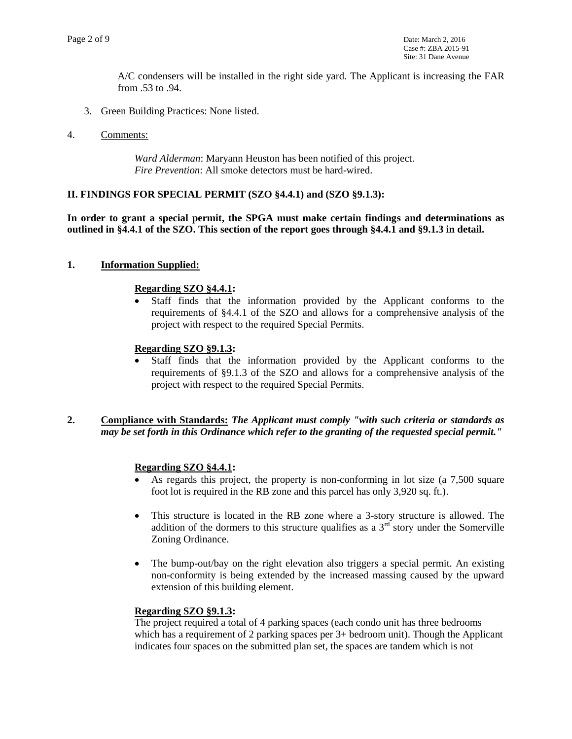A/C condensers will be installed in the right side yard. The Applicant is increasing the FAR from .53 to .94.

- 3. Green Building Practices: None listed.
- 4. Comments:

*Ward Alderman*: Maryann Heuston has been notified of this project. *Fire Prevention*: All smoke detectors must be hard-wired.

#### **II. FINDINGS FOR SPECIAL PERMIT (SZO §4.4.1) and (SZO §9.1.3):**

**In order to grant a special permit, the SPGA must make certain findings and determinations as outlined in §4.4.1 of the SZO. This section of the report goes through §4.4.1 and §9.1.3 in detail.** 

#### **1. Information Supplied:**

#### **Regarding SZO §4.4.1:**

 Staff finds that the information provided by the Applicant conforms to the requirements of §4.4.1 of the SZO and allows for a comprehensive analysis of the project with respect to the required Special Permits.

## **Regarding SZO §9.1.3:**

 Staff finds that the information provided by the Applicant conforms to the requirements of §9.1.3 of the SZO and allows for a comprehensive analysis of the project with respect to the required Special Permits.

## **2. Compliance with Standards:** *The Applicant must comply "with such criteria or standards as may be set forth in this Ordinance which refer to the granting of the requested special permit."*

## **Regarding SZO §4.4.1:**

- As regards this project, the property is non-conforming in lot size (a 7,500 square foot lot is required in the RB zone and this parcel has only 3,920 sq. ft.).
- This structure is located in the RB zone where a 3-story structure is allowed. The addition of the dormers to this structure qualifies as a  $3<sup>rd</sup>$  story under the Somerville Zoning Ordinance.
- The bump-out/bay on the right elevation also triggers a special permit. An existing non-conformity is being extended by the increased massing caused by the upward extension of this building element.

#### **Regarding SZO §9.1.3:**

The project required a total of 4 parking spaces (each condo unit has three bedrooms which has a requirement of 2 parking spaces per 3+ bedroom unit). Though the Applicant indicates four spaces on the submitted plan set, the spaces are tandem which is not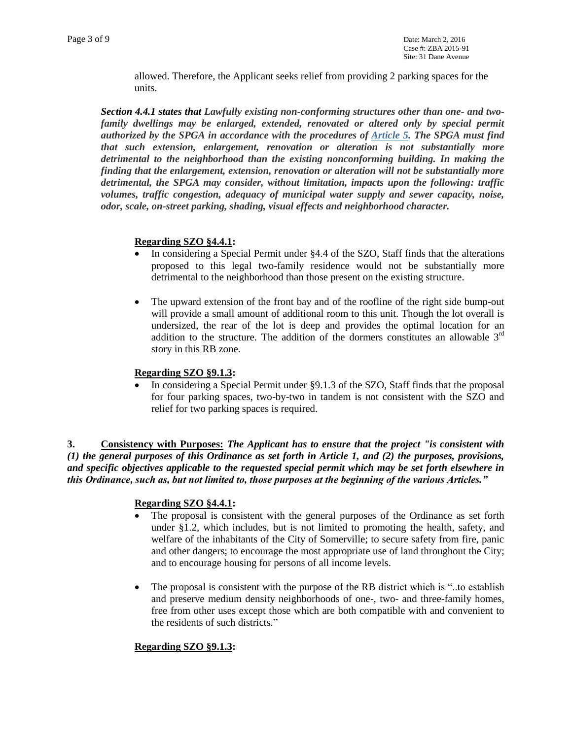allowed. Therefore, the Applicant seeks relief from providing 2 parking spaces for the units.

*Section 4.4.1 states that Lawfully existing non-conforming structures other than one- and twofamily dwellings may be enlarged, extended, renovated or altered only by special permit authorized by the SPGA in accordance with the procedures of [Article 5.](https://www.municode.com/library/ma/somerville/codes/zoning_ordinances?searchRequest=%7B%22searchText%22%3A%224.4.1%22%2C%22pageNum%22%3A1%2C%22resultsPerPage%22%3A25%2C%22booleanSearch%22%3Afalse%2C%22stemming%22%3Atrue%2C%22fuzzy%22%3Afalse%2C%22synonym%22%3Afalse%2C%22contentTypes%22%3A%5B%22CODES%22%5D%2C%22productIds%22%3A%5B%5D%7D&nodeId=ZONING_ORD_SOMERVILLE_MASSACHUSETTS_ART5SPPESPPESIPLRE) The SPGA must find that such extension, enlargement, renovation or alteration is not substantially more detrimental to the neighborhood than the existing nonconforming building. In making the finding that the enlargement, extension, renovation or alteration will not be substantially more detrimental, the SPGA may consider, without limitation, impacts upon the following: traffic volumes, traffic congestion, adequacy of municipal water supply and sewer capacity, noise, odor, scale, on-street parking, shading, visual effects and neighborhood character.*

## **Regarding SZO §4.4.1:**

- In considering a Special Permit under §4.4 of the SZO, Staff finds that the alterations proposed to this legal two-family residence would not be substantially more detrimental to the neighborhood than those present on the existing structure.
- The upward extension of the front bay and of the roofline of the right side bump-out will provide a small amount of additional room to this unit. Though the lot overall is undersized, the rear of the lot is deep and provides the optimal location for an addition to the structure. The addition of the dormers constitutes an allowable  $3<sup>rd</sup>$ story in this RB zone.

#### **Regarding SZO §9.1.3:**

 In considering a Special Permit under §9.1.3 of the SZO, Staff finds that the proposal for four parking spaces, two-by-two in tandem is not consistent with the SZO and relief for two parking spaces is required.

**3. Consistency with Purposes:** *The Applicant has to ensure that the project "is consistent with (1) the general purposes of this Ordinance as set forth in Article 1, and (2) the purposes, provisions, and specific objectives applicable to the requested special permit which may be set forth elsewhere in this Ordinance, such as, but not limited to, those purposes at the beginning of the various Articles."* 

## **Regarding SZO §4.4.1:**

- The proposal is consistent with the general purposes of the Ordinance as set forth under §1.2, which includes, but is not limited to promoting the health, safety, and welfare of the inhabitants of the City of Somerville; to secure safety from fire, panic and other dangers; to encourage the most appropriate use of land throughout the City; and to encourage housing for persons of all income levels.
- The proposal is consistent with the purpose of the RB district which is "..to establish and preserve medium density neighborhoods of one-, two- and three-family homes, free from other uses except those which are both compatible with and convenient to the residents of such districts."

## **Regarding SZO §9.1.3:**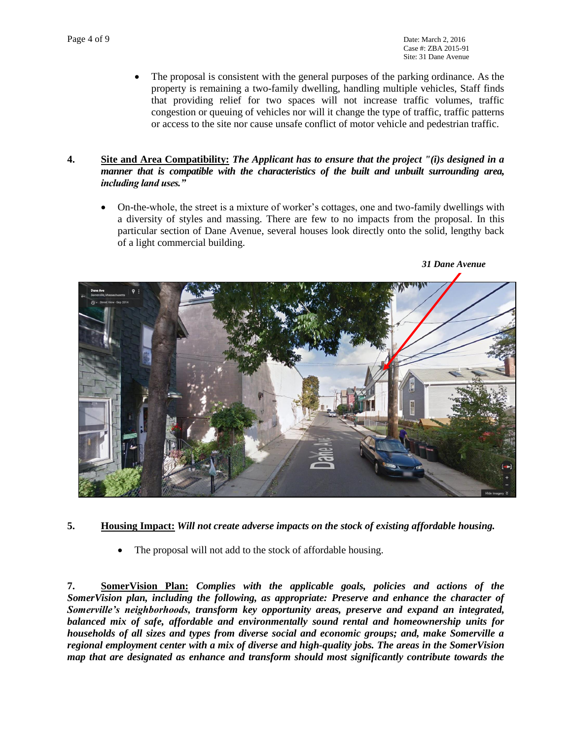The proposal is consistent with the general purposes of the parking ordinance. As the property is remaining a two-family dwelling, handling multiple vehicles, Staff finds that providing relief for two spaces will not increase traffic volumes, traffic congestion or queuing of vehicles nor will it change the type of traffic, traffic patterns or access to the site nor cause unsafe conflict of motor vehicle and pedestrian traffic.

## **4. Site and Area Compatibility:** *The Applicant has to ensure that the project "(i)s designed in a manner that is compatible with the characteristics of the built and unbuilt surrounding area, including land uses."*

 On-the-whole, the street is a mixture of worker's cottages, one and two-family dwellings with a diversity of styles and massing. There are few to no impacts from the proposal. In this particular section of Dane Avenue, several houses look directly onto the solid, lengthy back of a light commercial building.



## **5. Housing Impact:** *Will not create adverse impacts on the stock of existing affordable housing.*

The proposal will not add to the stock of affordable housing.

**7. SomerVision Plan:** *Complies with the applicable goals, policies and actions of the SomerVision plan, including the following, as appropriate: Preserve and enhance the character of Somerville's neighborhoods, transform key opportunity areas, preserve and expand an integrated, balanced mix of safe, affordable and environmentally sound rental and homeownership units for households of all sizes and types from diverse social and economic groups; and, make Somerville a regional employment center with a mix of diverse and high-quality jobs. The areas in the SomerVision map that are designated as enhance and transform should most significantly contribute towards the*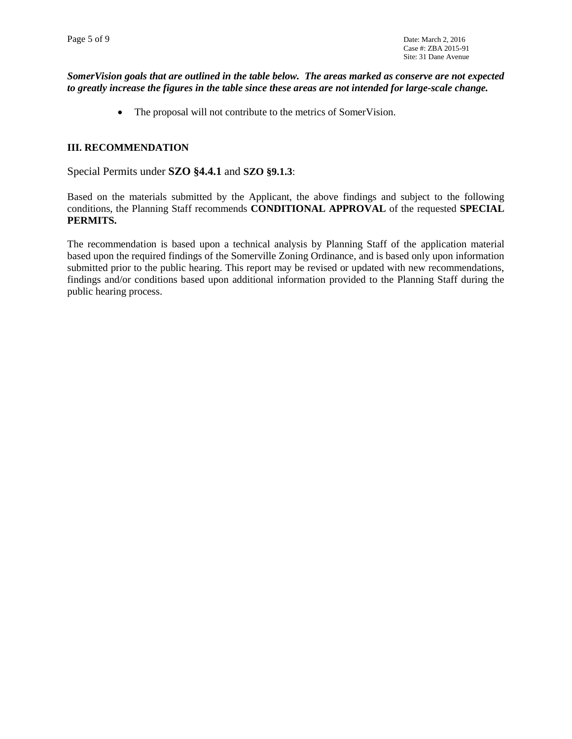## *SomerVision goals that are outlined in the table below. The areas marked as conserve are not expected to greatly increase the figures in the table since these areas are not intended for large-scale change.*

• The proposal will not contribute to the metrics of SomerVision.

#### **III. RECOMMENDATION**

Special Permits under **SZO §4.4.1** and **SZO §9.1.3**:

Based on the materials submitted by the Applicant, the above findings and subject to the following conditions, the Planning Staff recommends **CONDITIONAL APPROVAL** of the requested **SPECIAL PERMITS.** 

The recommendation is based upon a technical analysis by Planning Staff of the application material based upon the required findings of the Somerville Zoning Ordinance, and is based only upon information submitted prior to the public hearing. This report may be revised or updated with new recommendations, findings and/or conditions based upon additional information provided to the Planning Staff during the public hearing process.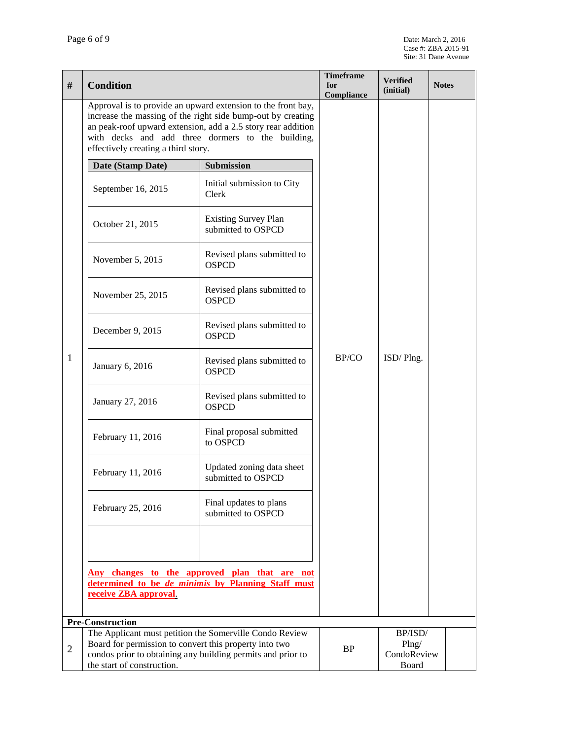| #              | <b>Condition</b>                                                                                                                                                                                                                                                                        |                                                   | <b>Timeframe</b><br>for<br>Compliance | <b>Verified</b><br>(initial)             | <b>Notes</b> |
|----------------|-----------------------------------------------------------------------------------------------------------------------------------------------------------------------------------------------------------------------------------------------------------------------------------------|---------------------------------------------------|---------------------------------------|------------------------------------------|--------------|
|                | Approval is to provide an upward extension to the front bay,<br>increase the massing of the right side bump-out by creating<br>an peak-roof upward extension, add a 2.5 story rear addition<br>with decks and add three dormers to the building,<br>effectively creating a third story. |                                                   |                                       |                                          |              |
|                | Date (Stamp Date)                                                                                                                                                                                                                                                                       | Submission                                        | BP/CO                                 | ISD/Plng.                                |              |
| 1              | September 16, 2015                                                                                                                                                                                                                                                                      | Initial submission to City<br>Clerk               |                                       |                                          |              |
|                | October 21, 2015                                                                                                                                                                                                                                                                        | <b>Existing Survey Plan</b><br>submitted to OSPCD |                                       |                                          |              |
|                | November 5, 2015                                                                                                                                                                                                                                                                        | Revised plans submitted to<br><b>OSPCD</b>        |                                       |                                          |              |
|                | November 25, 2015                                                                                                                                                                                                                                                                       | Revised plans submitted to<br><b>OSPCD</b>        |                                       |                                          |              |
|                | December 9, 2015                                                                                                                                                                                                                                                                        | Revised plans submitted to<br><b>OSPCD</b>        |                                       |                                          |              |
|                | January 6, 2016                                                                                                                                                                                                                                                                         | Revised plans submitted to<br><b>OSPCD</b>        |                                       |                                          |              |
|                | January 27, 2016                                                                                                                                                                                                                                                                        | Revised plans submitted to<br><b>OSPCD</b>        |                                       |                                          |              |
|                | February 11, 2016                                                                                                                                                                                                                                                                       | Final proposal submitted<br>to OSPCD              |                                       |                                          |              |
|                | February 11, 2016                                                                                                                                                                                                                                                                       | Updated zoning data sheet<br>submitted to OSPCD   |                                       |                                          |              |
|                | February 25, 2016                                                                                                                                                                                                                                                                       | Final updates to plans<br>submitted to OSPCD      |                                       |                                          |              |
|                |                                                                                                                                                                                                                                                                                         |                                                   |                                       |                                          |              |
|                | Any changes to the approved plan that are not<br>determined to be <i>de minimis</i> by Planning Staff must<br>receive ZBA approval.                                                                                                                                                     |                                                   |                                       |                                          |              |
|                | <b>Pre-Construction</b>                                                                                                                                                                                                                                                                 |                                                   |                                       |                                          |              |
| $\overline{2}$ | The Applicant must petition the Somerville Condo Review<br>Board for permission to convert this property into two<br>condos prior to obtaining any building permits and prior to<br>the start of construction.                                                                          |                                                   | <b>BP</b>                             | BP/ISD/<br>Plng/<br>CondoReview<br>Board |              |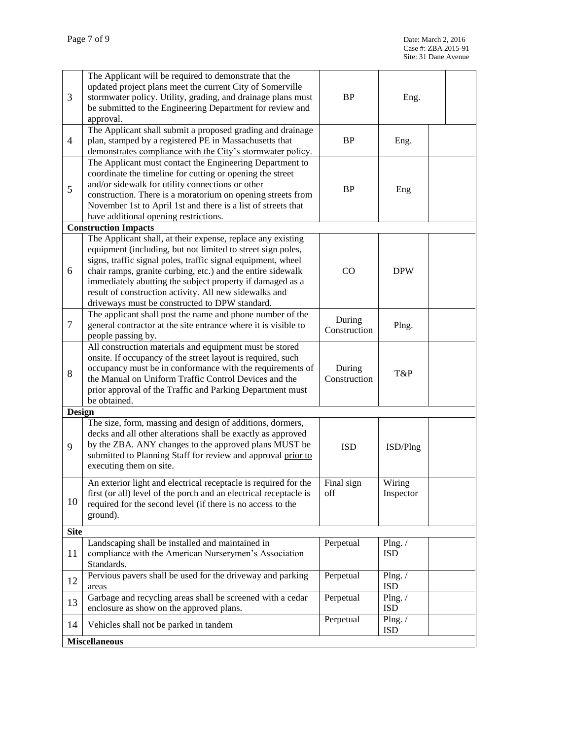| 3              | The Applicant will be required to demonstrate that the<br>updated project plans meet the current City of Somerville<br>stormwater policy. Utility, grading, and drainage plans must<br>be submitted to the Engineering Department for review and<br>approval.                                                                                                                                                                      | <b>BP</b>              | Eng.                          |  |
|----------------|------------------------------------------------------------------------------------------------------------------------------------------------------------------------------------------------------------------------------------------------------------------------------------------------------------------------------------------------------------------------------------------------------------------------------------|------------------------|-------------------------------|--|
| 4              | The Applicant shall submit a proposed grading and drainage<br>plan, stamped by a registered PE in Massachusetts that<br>demonstrates compliance with the City's stormwater policy.                                                                                                                                                                                                                                                 | BP                     | Eng.                          |  |
| 5              | The Applicant must contact the Engineering Department to<br>coordinate the timeline for cutting or opening the street<br>and/or sidewalk for utility connections or other<br>construction. There is a moratorium on opening streets from<br>November 1st to April 1st and there is a list of streets that<br>have additional opening restrictions.                                                                                 | <b>BP</b>              | Eng                           |  |
|                | <b>Construction Impacts</b>                                                                                                                                                                                                                                                                                                                                                                                                        |                        |                               |  |
| 6              | The Applicant shall, at their expense, replace any existing<br>equipment (including, but not limited to street sign poles,<br>signs, traffic signal poles, traffic signal equipment, wheel<br>chair ramps, granite curbing, etc.) and the entire sidewalk<br>immediately abutting the subject property if damaged as a<br>result of construction activity. All new sidewalks and<br>driveways must be constructed to DPW standard. | CO                     | <b>DPW</b>                    |  |
| $\overline{7}$ | The applicant shall post the name and phone number of the<br>general contractor at the site entrance where it is visible to<br>people passing by.                                                                                                                                                                                                                                                                                  | During<br>Construction | Plng.                         |  |
| 8              | All construction materials and equipment must be stored<br>onsite. If occupancy of the street layout is required, such<br>occupancy must be in conformance with the requirements of<br>the Manual on Uniform Traffic Control Devices and the<br>prior approval of the Traffic and Parking Department must<br>be obtained.                                                                                                          | During<br>Construction | T&P                           |  |
| <b>Design</b>  |                                                                                                                                                                                                                                                                                                                                                                                                                                    |                        |                               |  |
| 9              | The size, form, massing and design of additions, dormers,<br>decks and all other alterations shall be exactly as approved<br>by the ZBA. ANY changes to the approved plans MUST be<br>submitted to Planning Staff for review and approval prior to<br>executing them on site.                                                                                                                                                      | <b>ISD</b>             | ISD/Plng                      |  |
| 10             | An exterior light and electrical receptacle is required for the<br>first (or all) level of the porch and an electrical receptacle is<br>required for the second level (if there is no access to the<br>ground).                                                                                                                                                                                                                    | Final sign<br>off      | Wiring<br>Inspector           |  |
| <b>Site</b>    |                                                                                                                                                                                                                                                                                                                                                                                                                                    |                        |                               |  |
| 11             | Landscaping shall be installed and maintained in<br>compliance with the American Nurserymen's Association<br>Standards.                                                                                                                                                                                                                                                                                                            | Perpetual              | Plng. $\sqrt{}$<br><b>ISD</b> |  |
| 12             | Pervious pavers shall be used for the driveway and parking<br>areas                                                                                                                                                                                                                                                                                                                                                                | Perpetual              | Plng. $/$<br><b>ISD</b>       |  |
| 13             | Garbage and recycling areas shall be screened with a cedar<br>enclosure as show on the approved plans.                                                                                                                                                                                                                                                                                                                             | Perpetual              | Plng. $/$<br><b>ISD</b>       |  |
| 14             | Vehicles shall not be parked in tandem                                                                                                                                                                                                                                                                                                                                                                                             | Perpetual              | Plng. $/$<br><b>ISD</b>       |  |
|                | <b>Miscellaneous</b>                                                                                                                                                                                                                                                                                                                                                                                                               |                        |                               |  |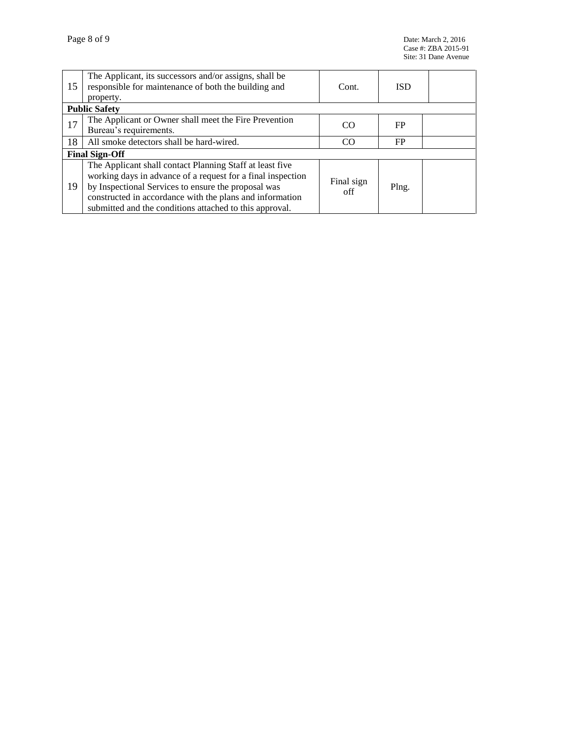| 15                    | The Applicant, its successors and/or assigns, shall be<br>responsible for maintenance of both the building and<br>property.                                                                                                                                                                           | Cont.             | <b>ISD</b> |  |  |  |
|-----------------------|-------------------------------------------------------------------------------------------------------------------------------------------------------------------------------------------------------------------------------------------------------------------------------------------------------|-------------------|------------|--|--|--|
| <b>Public Safety</b>  |                                                                                                                                                                                                                                                                                                       |                   |            |  |  |  |
| 17                    | The Applicant or Owner shall meet the Fire Prevention<br>Bureau's requirements.                                                                                                                                                                                                                       | CO                | <b>FP</b>  |  |  |  |
| 18                    | All smoke detectors shall be hard-wired.                                                                                                                                                                                                                                                              | C <sub>O</sub>    | <b>FP</b>  |  |  |  |
| <b>Final Sign-Off</b> |                                                                                                                                                                                                                                                                                                       |                   |            |  |  |  |
| 19                    | The Applicant shall contact Planning Staff at least five<br>working days in advance of a request for a final inspection<br>by Inspectional Services to ensure the proposal was<br>constructed in accordance with the plans and information<br>submitted and the conditions attached to this approval. | Final sign<br>off | Plng.      |  |  |  |